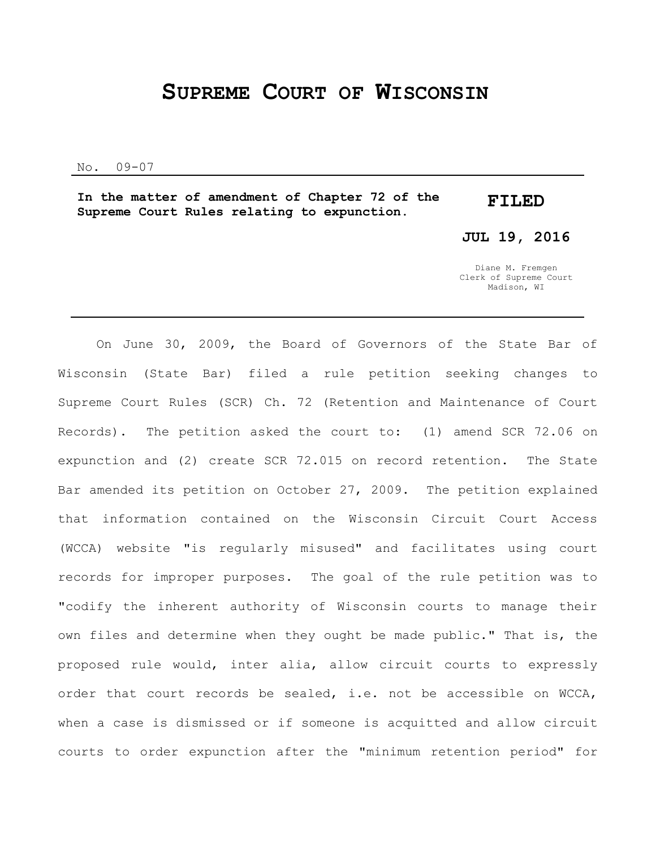## **SUPREME COURT OF WISCONSIN**

No. 09-07

**In the matter of amendment of Chapter 72 of the Supreme Court Rules relating to expunction. FILED**

**JUL 19, 2016**

Diane M. Fremgen Clerk of Supreme Court Madison, WI

On June 30, 2009, the Board of Governors of the State Bar of Wisconsin (State Bar) filed a rule petition seeking changes to Supreme Court Rules (SCR) Ch. 72 (Retention and Maintenance of Court Records). The petition asked the court to: (1) amend SCR 72.06 on expunction and (2) create SCR 72.015 on record retention. The State Bar amended its petition on October 27, 2009. The petition explained that information contained on the Wisconsin Circuit Court Access (WCCA) website "is regularly misused" and facilitates using court records for improper purposes. The goal of the rule petition was to "codify the inherent authority of Wisconsin courts to manage their own files and determine when they ought be made public." That is, the proposed rule would, inter alia, allow circuit courts to expressly order that court records be sealed, i.e. not be accessible on WCCA, when a case is dismissed or if someone is acquitted and allow circuit courts to order expunction after the "minimum retention period" for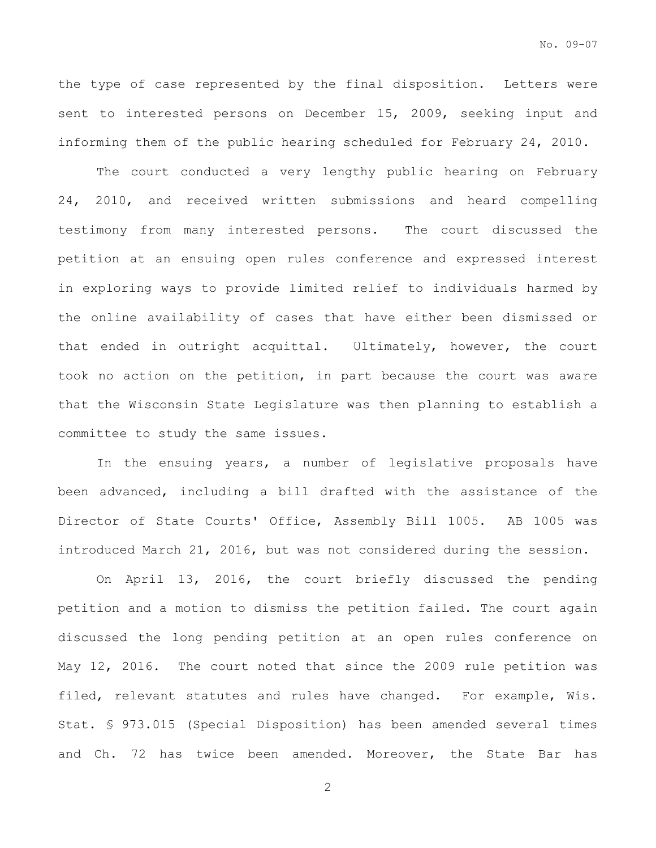the type of case represented by the final disposition. Letters were sent to interested persons on December 15, 2009, seeking input and informing them of the public hearing scheduled for February 24, 2010.

The court conducted a very lengthy public hearing on February 24, 2010, and received written submissions and heard compelling testimony from many interested persons. The court discussed the petition at an ensuing open rules conference and expressed interest in exploring ways to provide limited relief to individuals harmed by the online availability of cases that have either been dismissed or that ended in outright acquittal. Ultimately, however, the court took no action on the petition, in part because the court was aware that the Wisconsin State Legislature was then planning to establish a committee to study the same issues.

In the ensuing years, a number of legislative proposals have been advanced, including a bill drafted with the assistance of the Director of State Courts' Office, Assembly Bill 1005. AB 1005 was introduced March 21, 2016, but was not considered during the session.

On April 13, 2016, the court briefly discussed the pending petition and a motion to dismiss the petition failed. The court again discussed the long pending petition at an open rules conference on May 12, 2016. The court noted that since the 2009 rule petition was filed, relevant statutes and rules have changed. For example, Wis. Stat. § 973.015 (Special Disposition) has been amended several times and Ch. 72 has twice been amended. Moreover, the State Bar has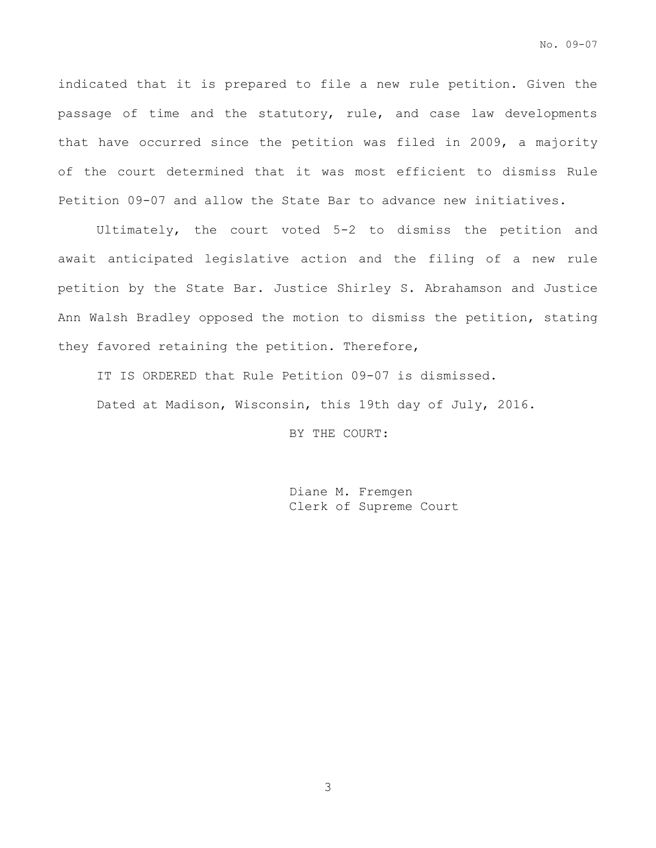indicated that it is prepared to file a new rule petition. Given the passage of time and the statutory, rule, and case law developments that have occurred since the petition was filed in 2009, a majority of the court determined that it was most efficient to dismiss Rule Petition 09-07 and allow the State Bar to advance new initiatives.

Ultimately, the court voted 5-2 to dismiss the petition and await anticipated legislative action and the filing of a new rule petition by the State Bar. Justice Shirley S. Abrahamson and Justice Ann Walsh Bradley opposed the motion to dismiss the petition, stating they favored retaining the petition. Therefore,

IT IS ORDERED that Rule Petition 09-07 is dismissed.

Dated at Madison, Wisconsin, this 19th day of July, 2016.

BY THE COURT:

Diane M. Fremgen Clerk of Supreme Court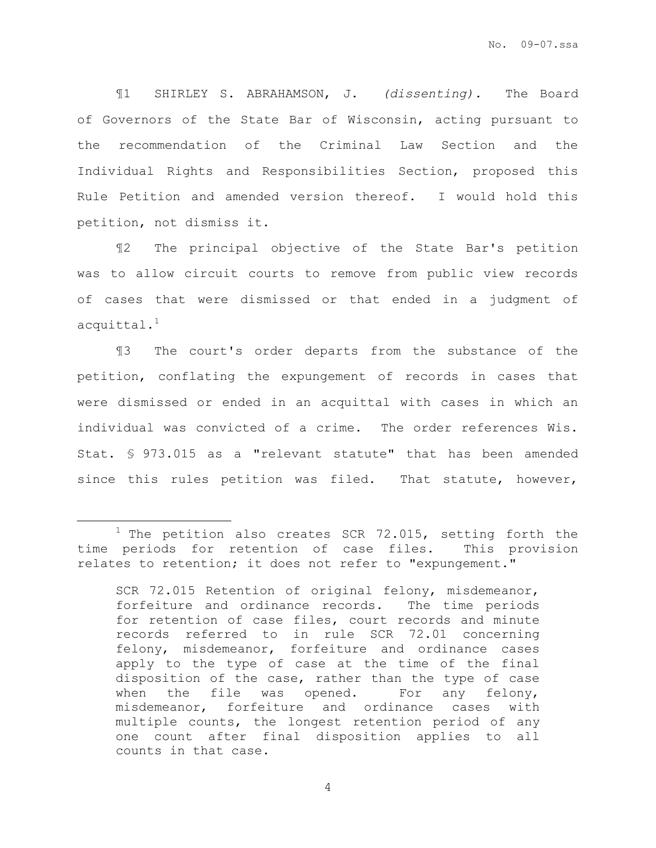¶1 SHIRLEY S. ABRAHAMSON, J. *(dissenting).* The Board of Governors of the State Bar of Wisconsin, acting pursuant to the recommendation of the Criminal Law Section and the Individual Rights and Responsibilities Section, proposed this Rule Petition and amended version thereof. I would hold this petition, not dismiss it.

¶2 The principal objective of the State Bar's petition was to allow circuit courts to remove from public view records of cases that were dismissed or that ended in a judgment of  $accquittal.<sup>1</sup>$ 

¶3 The court's order departs from the substance of the petition, conflating the expungement of records in cases that were dismissed or ended in an acquittal with cases in which an individual was convicted of a crime. The order references Wis. Stat. § 973.015 as a "relevant statute" that has been amended since this rules petition was filed. That statute, however,

 $\overline{a}$ 

 $1$  The petition also creates SCR 72.015, setting forth the time periods for retention of case files. This provision relates to retention; it does not refer to "expungement."

SCR 72.015 Retention of original felony, misdemeanor, forfeiture and ordinance records. The time periods for retention of case files, court records and minute records referred to in rule SCR 72.01 concerning felony, misdemeanor, forfeiture and ordinance cases apply to the type of case at the time of the final disposition of the case, rather than the type of case when the file was opened. For any felony, misdemeanor, forfeiture and ordinance cases with multiple counts, the longest retention period of any one count after final disposition applies to all counts in that case.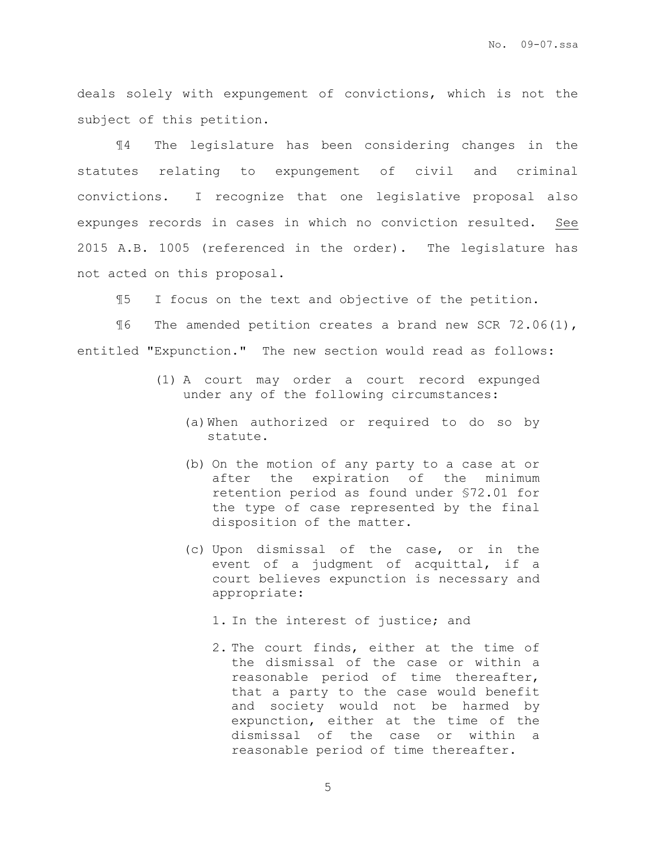deals solely with expungement of convictions, which is not the subject of this petition.

¶4 The legislature has been considering changes in the statutes relating to expungement of civil and criminal convictions. I recognize that one legislative proposal also expunges records in cases in which no conviction resulted. See 2015 A.B. 1005 (referenced in the order). The legislature has not acted on this proposal.

¶5 I focus on the text and objective of the petition.

¶6 The amended petition creates a brand new SCR 72.06(1), entitled "Expunction." The new section would read as follows:

- (1) A court may order a court record expunged under any of the following circumstances:
	- (a)When authorized or required to do so by statute.
	- (b) On the motion of any party to a case at or after the expiration of the minimum retention period as found under §72.01 for the type of case represented by the final disposition of the matter.
	- (c) Upon dismissal of the case, or in the event of a judgment of acquittal, if a court believes expunction is necessary and appropriate:
		- 1. In the interest of justice; and
		- 2. The court finds, either at the time of the dismissal of the case or within a reasonable period of time thereafter, that a party to the case would benefit and society would not be harmed by expunction, either at the time of the dismissal of the case or within a reasonable period of time thereafter.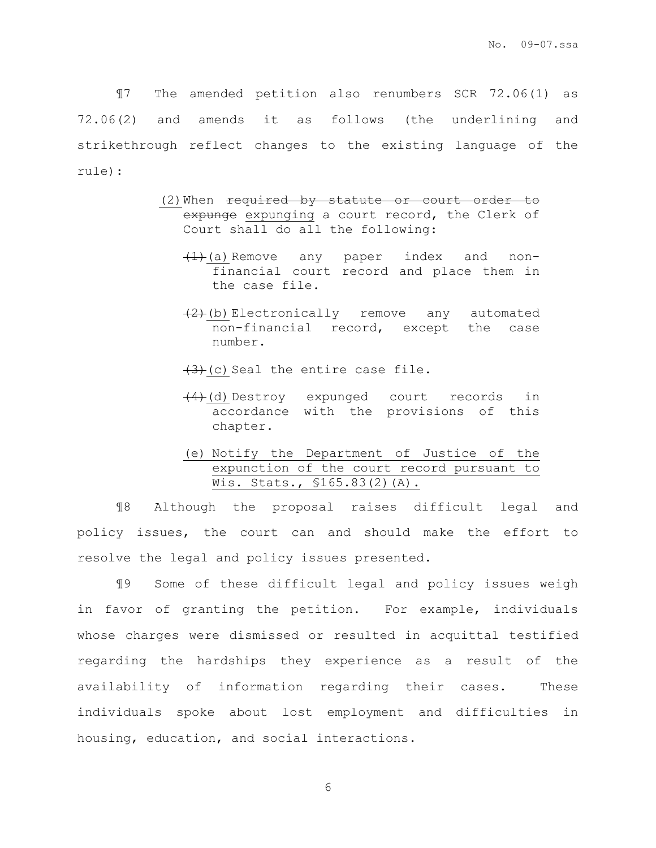¶7 The amended petition also renumbers SCR 72.06(1) as 72.06(2) and amends it as follows (the underlining and strikethrough reflect changes to the existing language of the rule):

- (2) When required by statute or court order to expunge expunging a court record, the Clerk of Court shall do all the following:
	- $\left(1\right)$  (a) Remove any paper index and nonfinancial court record and place them in the case file.
	- (2)(b) Electronically remove any automated non-financial record, except the case number.

 $(3)+(c)$  Seal the entire case file.

- $(4)$  (d) Destroy expunged court records in accordance with the provisions of this chapter.
- (e) Notify the Department of Justice of the expunction of the court record pursuant to Wis. Stats., §165.83(2)(A).

¶8 Although the proposal raises difficult legal and policy issues, the court can and should make the effort to resolve the legal and policy issues presented.

¶9 Some of these difficult legal and policy issues weigh in favor of granting the petition. For example, individuals whose charges were dismissed or resulted in acquittal testified regarding the hardships they experience as a result of the availability of information regarding their cases. These individuals spoke about lost employment and difficulties in housing, education, and social interactions.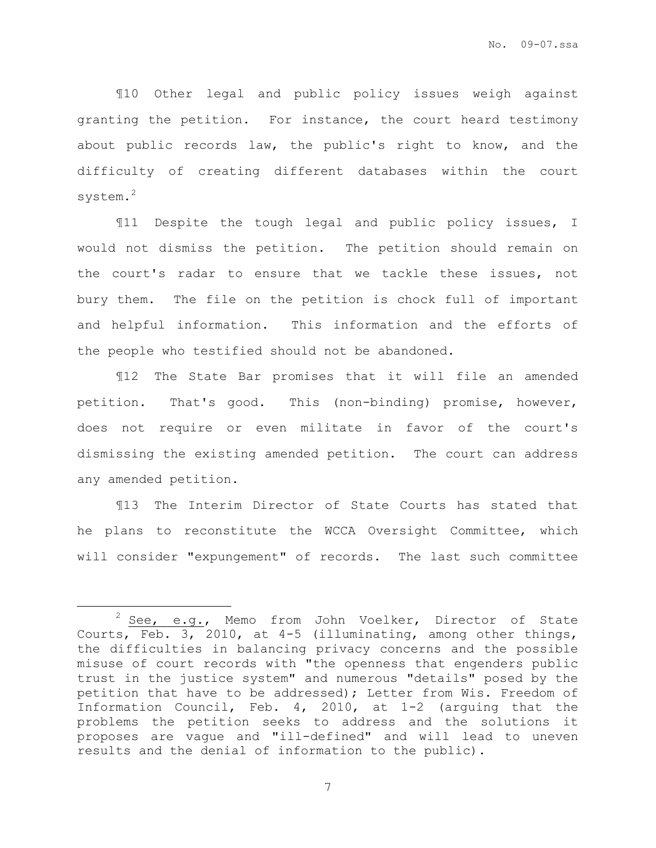¶10 Other legal and public policy issues weigh against granting the petition. For instance, the court heard testimony about public records law, the public's right to know, and the difficulty of creating different databases within the court system.<sup>2</sup>

¶11 Despite the tough legal and public policy issues, I would not dismiss the petition. The petition should remain on the court's radar to ensure that we tackle these issues, not bury them. The file on the petition is chock full of important and helpful information. This information and the efforts of the people who testified should not be abandoned.

¶12 The State Bar promises that it will file an amended petition. That's good. This (non-binding) promise, however, does not require or even militate in favor of the court's dismissing the existing amended petition. The court can address any amended petition.

¶13 The Interim Director of State Courts has stated that he plans to reconstitute the WCCA Oversight Committee, which will consider "expungement" of records. The last such committee

 $\overline{a}$ 

 $2$  See, e.g., Memo from John Voelker, Director of State Courts, Feb. 3, 2010, at 4-5 (illuminating, among other things, the difficulties in balancing privacy concerns and the possible misuse of court records with "the openness that engenders public trust in the justice system" and numerous "details" posed by the petition that have to be addressed); Letter from Wis. Freedom of Information Council, Feb. 4, 2010, at 1-2 (arguing that the problems the petition seeks to address and the solutions it proposes are vague and "ill-defined" and will lead to uneven results and the denial of information to the public).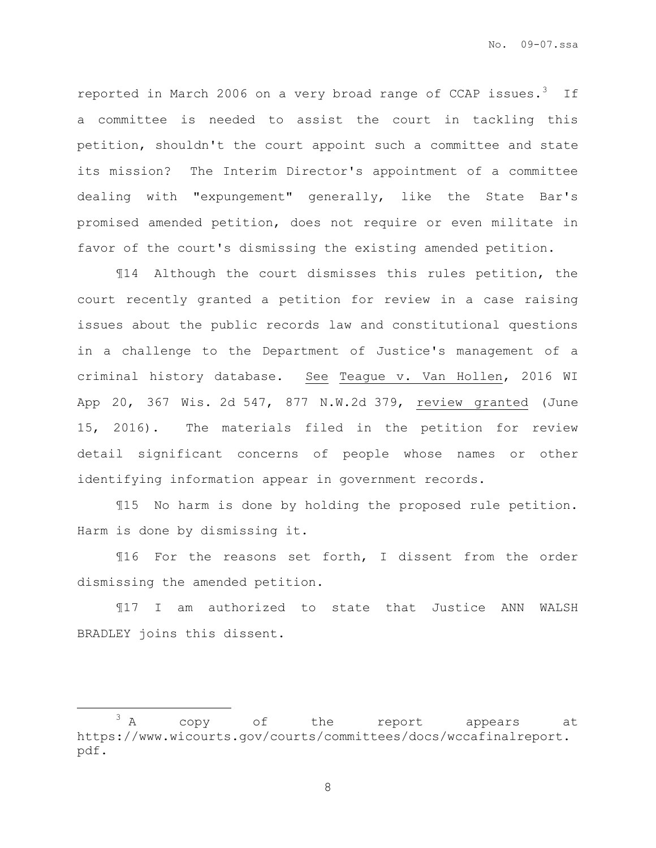reported in March 2006 on a very broad range of CCAP issues.<sup>3</sup> If a committee is needed to assist the court in tackling this petition, shouldn't the court appoint such a committee and state its mission? The Interim Director's appointment of a committee dealing with "expungement" generally, like the State Bar's promised amended petition, does not require or even militate in favor of the court's dismissing the existing amended petition.

¶14 Although the court dismisses this rules petition, the court recently granted a petition for review in a case raising issues about the public records law and constitutional questions in a challenge to the Department of Justice's management of a criminal history database. See Teague v. Van Hollen, 2016 WI App 20, 367 Wis. 2d 547, 877 N.W.2d 379, review granted (June 15, 2016). The materials filed in the petition for review detail significant concerns of people whose names or other identifying information appear in government records.

¶15 No harm is done by holding the proposed rule petition. Harm is done by dismissing it.

¶16 For the reasons set forth, I dissent from the order dismissing the amended petition.

¶17 I am authorized to state that Justice ANN WALSH BRADLEY joins this dissent.

 $\overline{a}$ 

 $3 A$  copy of the report appears at https://www.wicourts.gov/courts/committees/docs/wccafinalreport. pdf.